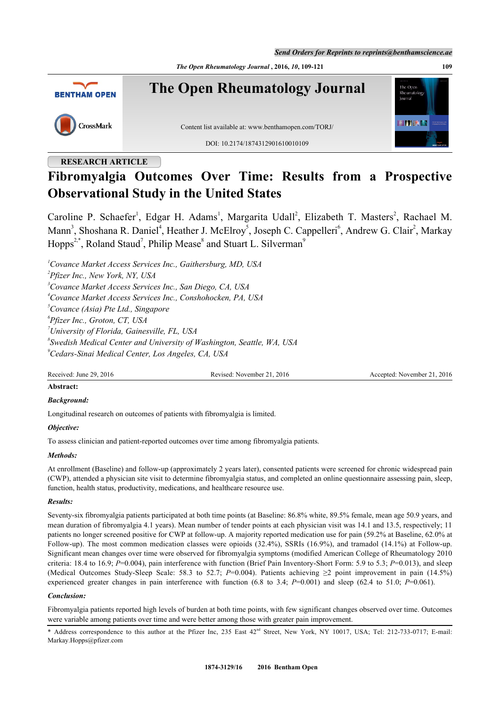*Send Orders for Reprints to reprints@benthamscience.ae*

*The Open Rheumatology Journal* **, 2016,** *10***, 109-121 109**



# **RESEARCH ARTICLE**

# **Fibromyalgia Outcomes Over Time: Results from a Prospective Observational Study in the United States**

Caroline P. Schaefer<sup>[1](#page-0-0)</sup>, Edgar H. Adams<sup>1</sup>, Margarita Udall<sup>[2](#page-0-1)</sup>, Elizabeth T. Masters<sup>2</sup>, Rachael M. Mann<sup>[3](#page-0-2)</sup>, Shoshana R. Daniel<sup>[4](#page-0-3)</sup>, Heather J. McElroy<sup>[5](#page-0-4)</sup>, Joseph C. Cappelleri<sup>[6](#page-0-5)</sup>, Andrew G. Clair<sup>[2](#page-0-1)</sup>, Markay Hopps<sup>[2](#page-0-1),[\\*](#page-0-6)</sup>, Roland Staud<sup>[7](#page-0-7)</sup>, Philip Mease<sup>[8](#page-0-8)</sup> and Stuart L. Silverman<sup>[9](#page-0-9)</sup>

<span id="page-0-5"></span><span id="page-0-4"></span><span id="page-0-3"></span><span id="page-0-2"></span><span id="page-0-1"></span><span id="page-0-0"></span>*Covance Market Access Services Inc., Gaithersburg, MD, USA Pfizer Inc., New York, NY, USA Covance Market Access Services Inc., San Diego, CA, USA Covance Market Access Services Inc., Conshohocken, PA, USA Covance (Asia) Pte Ltd., Singapore Pfizer Inc., Groton, CT, USA University of Florida, Gainesville, FL, USA Swedish Medical Center and University of Washington, Seattle, WA, USA Cedars-Sinai Medical Center, Los Angeles, CA, USA*

<span id="page-0-9"></span><span id="page-0-8"></span><span id="page-0-7"></span>Received: June 29, 2016 Revised: November 21, 2016 Accepted: November 21, 2016

#### **Abstract:**

*Background:*

Longitudinal research on outcomes of patients with fibromyalgia is limited.

### *Objective:*

To assess clinician and patient-reported outcomes over time among fibromyalgia patients.

#### *Methods:*

At enrollment (Baseline) and follow-up (approximately 2 years later), consented patients were screened for chronic widespread pain (CWP), attended a physician site visit to determine fibromyalgia status, and completed an online questionnaire assessing pain, sleep, function, health status, productivity, medications, and healthcare resource use.

#### *Results:*

Seventy-six fibromyalgia patients participated at both time points (at Baseline: 86.8% white, 89.5% female, mean age 50.9 years, and mean duration of fibromyalgia 4.1 years). Mean number of tender points at each physician visit was 14.1 and 13.5, respectively; 11 patients no longer screened positive for CWP at follow-up. A majority reported medication use for pain (59.2% at Baseline, 62.0% at Follow-up). The most common medication classes were opioids (32.4%), SSRIs (16.9%), and tramadol (14.1%) at Follow-up. Significant mean changes over time were observed for fibromyalgia symptoms (modified American College of Rheumatology 2010 criteria: 18.4 to 16.9; *P*=0.004), pain interference with function (Brief Pain Inventory-Short Form: 5.9 to 5.3; *P*=0.013), and sleep (Medical Outcomes Study-Sleep Scale: 58.3 to 52.7; *P*=0.004). Patients achieving ≥2 point improvement in pain (14.5%) experienced greater changes in pain interference with function (6.8 to 3.4; *P*=0.001) and sleep (62.4 to 51.0; *P*=0.061).

#### *Conclusion:*

Fibromyalgia patients reported high levels of burden at both time points, with few significant changes observed over time. Outcomes were variable among patients over time and were better among those with greater pain improvement.

<span id="page-0-6"></span>\* Address correspondence to this author at the Pfizer Inc, 235 East 42nd Street, New York, NY 10017, USA; Tel: 212-733-0717; E-mail: [Markay.Hopps@pfizer.com](mailto:Markay.Hopps@pfizer.com)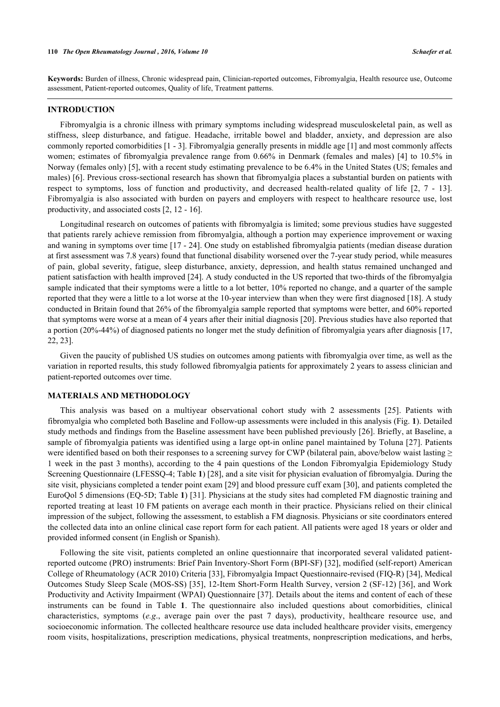**Keywords:** Burden of illness, Chronic widespread pain, Clinician-reported outcomes, Fibromyalgia, Health resource use, Outcome assessment, Patient-reported outcomes, Quality of life, Treatment patterns.

#### **INTRODUCTION**

Fibromyalgia is a chronic illness with primary symptoms including widespread musculoskeletal pain, as well as stiffness, sleep disturbance, and fatigue. Headache, irritable bowel and bladder, anxiety, and depression are also commonly reported comorbidities [[1](#page-9-0) - [3\]](#page-10-0). Fibromyalgia generally presents in middle age [[1\]](#page-9-0) and most commonly affects women; estimates of fibromyalgia prevalence range from 0.66% in Denmark (females and males) [[4\]](#page-10-1) to 10.5% in Norway (females only) [\[5](#page-10-2)], with a recent study estimating prevalence to be 6.4% in the United States (US; females and males) [[6\]](#page-10-3). Previous cross-sectional research has shown that fibromyalgia places a substantial burden on patients with respect to symptoms, loss of function and productivity, and decreased health-related quality of life[[2,](#page-10-4) [7](#page-10-5) - [13\]](#page-10-6). Fibromyalgia is also associated with burden on payers and employers with respect to healthcare resource use, lost productivity, and associated costs [[2,](#page-10-4) [12](#page-10-7) - [16](#page-10-8)].

Longitudinal research on outcomes of patients with fibromyalgia is limited; some previous studies have suggested that patients rarely achieve remission from fibromyalgia, although a portion may experience improvement or waxing and waning in symptoms over time [[17](#page-10-9) - [24\]](#page-11-0). One study on established fibromyalgia patients (median disease duration at first assessment was 7.8 years) found that functional disability worsened over the 7-year study period, while measures of pain, global severity, fatigue, sleep disturbance, anxiety, depression, and health status remained unchanged and patient satisfaction with health improved [[24\]](#page-11-0). A study conducted in the US reported that two-thirds of the fibromyalgia sample indicated that their symptoms were a little to a lot better, 10% reported no change, and a quarter of the sample reported that they were a little to a lot worse at the 10-year interview than when they were first diagnosed [\[18\]](#page-10-10). A study conducted in Britain found that 26% of the fibromyalgia sample reported that symptoms were better, and 60% reported that symptoms were worse at a mean of 4 years after their initial diagnosis [\[20](#page-10-11)]. Previous studies have also reported that a portion (20%-44%) of diagnosed patients no longer met the study definition of fibromyalgia years after diagnosis [[17](#page-10-9), [22,](#page-11-1) [23\]](#page-11-2).

Given the paucity of published US studies on outcomes among patients with fibromyalgia over time, as well as the variation in reported results, this study followed fibromyalgia patients for approximately 2 years to assess clinician and patient-reported outcomes over time.

#### **MATERIALS AND METHODOLOGY**

This analysis was based on a multiyear observational cohort study with 2 assessments[[25\]](#page-11-3). Patients with fibromyalgia who completed both Baseline and Follow-up assessments were included in this analysis (Fig. **[1](#page-2-0)**). Detailed study methods and findings from the Baseline assessment have been published previously [[26\]](#page-11-4). Briefly, at Baseline, a sample of fibromyalgia patients was identified using a large opt-in online panel maintained by Toluna [[27](#page-11-5)]. Patients were identified based on both their responses to a screening survey for CWP (bilateral pain, above/below waist lasting  $\geq$ 1 week in the past 3 months), according to the 4 pain questions of the London Fibromyalgia Epidemiology Study Screening Questionnaire (LFESSQ-4; Table **[1](#page-2-1)**) [\[28](#page-11-6)], and a site visit for physician evaluation of fibromyalgia. During the site visit, physicians completed a tender point exam [[29](#page-11-7)] and blood pressure cuff exam [\[30](#page-11-8)], and patients completed the EuroQol 5 dimensions (EQ-5D; Table **[1](#page-2-1)**) [[31\]](#page-11-9). Physicians at the study sites had completed FM diagnostic training and reported treating at least 10 FM patients on average each month in their practice. Physicians relied on their clinical impression of the subject, following the assessment, to establish a FM diagnosis. Physicians or site coordinators entered the collected data into an online clinical case report form for each patient. All patients were aged 18 years or older and provided informed consent (in English or Spanish).

Following the site visit, patients completed an online questionnaire that incorporated several validated patientreported outcome (PRO) instruments: Brief Pain Inventory-Short Form (BPI-SF) [[32](#page-11-10)], modified (self-report) American College of Rheumatology (ACR 2010) Criteria [[33\]](#page-11-11), Fibromyalgia Impact Questionnaire-revised (FIQ-R) [\[34](#page-11-12)], Medical Outcomes Study Sleep Scale (MOS-SS) [[35](#page-11-13)], 12-Item Short-Form Health Survey, version 2 (SF-12) [[36\]](#page-11-14), and Work Productivity and Activity Impairment (WPAI) Questionnaire [[37](#page-11-15)]. Details about the items and content of each of these instruments can be found in Table**1**. The questionnaire also included questions about comorbidities, clinical characteristics, symptoms (*e.g*., average pain over the past 7 days), productivity, healthcare resource use, and socioeconomic information. The collected healthcare resource use data included healthcare provider visits, emergency room visits, hospitalizations, prescription medications, physical treatments, nonprescription medications, and herbs,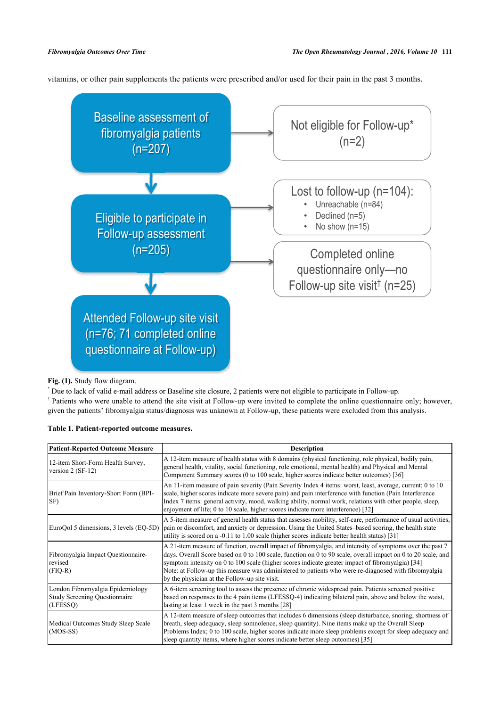<span id="page-2-0"></span>vitamins, or other pain supplements the patients were prescribed and/or used for their pain in the past 3 months.



# Fig. (1). Study flow diagram.

\* Due to lack of valid e-mail address or Baseline site closure, 2 patients were not eligible to participate in Follow-up.

<sup>†</sup> Patients who were unable to attend the site visit at Follow-up were invited to complete the online questionnaire only; however, given the patients' fibromyalgia status/diagnosis was unknown at Follow-up, these patients were excluded from this analysis.

<span id="page-2-1"></span>

| Table 1. Patient-reported outcome measures. |  |  |
|---------------------------------------------|--|--|
|---------------------------------------------|--|--|

| <b>Patient-Reported Outcome Measure</b>                                              | <b>Description</b>                                                                                                                                                                                                                                                                                                                                                                                                                                                                    |
|--------------------------------------------------------------------------------------|---------------------------------------------------------------------------------------------------------------------------------------------------------------------------------------------------------------------------------------------------------------------------------------------------------------------------------------------------------------------------------------------------------------------------------------------------------------------------------------|
| 12-item Short-Form Health Survey,<br>version $2(SF-12)$                              | A 12-item measure of health status with 8 domains (physical functioning, role physical, bodily pain,<br>general health, vitality, social functioning, role emotional, mental health) and Physical and Mental<br>Component Summary scores (0 to 100 scale, higher scores indicate better outcomes) [36]                                                                                                                                                                                |
| Brief Pain Inventory-Short Form (BPI-<br>SF)                                         | An 11-item measure of pain severity (Pain Severity Index 4 items: worst, least, average, current; 0 to 10<br>scale, higher scores indicate more severe pain) and pain interference with function (Pain Interference<br>Index 7 items: general activity, mood, walking ability, normal work, relations with other people, sleep,<br>enjoyment of life; 0 to 10 scale, higher scores indicate more interference) [32]                                                                   |
| EuroQol 5 dimensions, 3 levels (EQ-5D)                                               | A 5-item measure of general health status that assesses mobility, self-care, performance of usual activities,<br>pain or discomfort, and anxiety or depression. Using the United States-based scoring, the health state<br>utility is scored on a $-0.11$ to 1.00 scale (higher scores indicate better health status) [31]                                                                                                                                                            |
| Fibromyalgia Impact Questionnaire-<br>revised<br>$(FIQ-R)$                           | A 21-item measure of function, overall impact of fibromyalgia, and intensity of symptoms over the past 7<br>days. Overall Score based on 0 to 100 scale, function on 0 to 90 scale, overall impact on 0 to 20 scale, and<br>symptom intensity on 0 to 100 scale (higher scores indicate greater impact of fibromyalgia) [34]<br>Note: at Follow-up this measure was administered to patients who were re-diagnosed with fibromyalgia<br>by the physician at the Follow-up site visit. |
| London Fibromyalgia Epidemiology<br><b>Study Screening Questionnaire</b><br>(LFESSQ) | A 6-item screening tool to assess the presence of chronic widespread pain. Patients screened positive<br>based on responses to the 4 pain items (LFESSQ-4) indicating bilateral pain, above and below the waist,<br>lasting at least 1 week in the past 3 months [28]                                                                                                                                                                                                                 |
| Medical Outcomes Study Sleep Scale<br>$(MOS-SS)$                                     | A 12-item measure of sleep outcomes that includes 6 dimensions (sleep disturbance, snoring, shortness of<br>breath, sleep adequacy, sleep somnolence, sleep quantity). Nine items make up the Overall Sleep<br>Problems Index; 0 to 100 scale, higher scores indicate more sleep problems except for sleep adequacy and<br>sleep quantity items, where higher scores indicate better sleep outcomes) [35]                                                                             |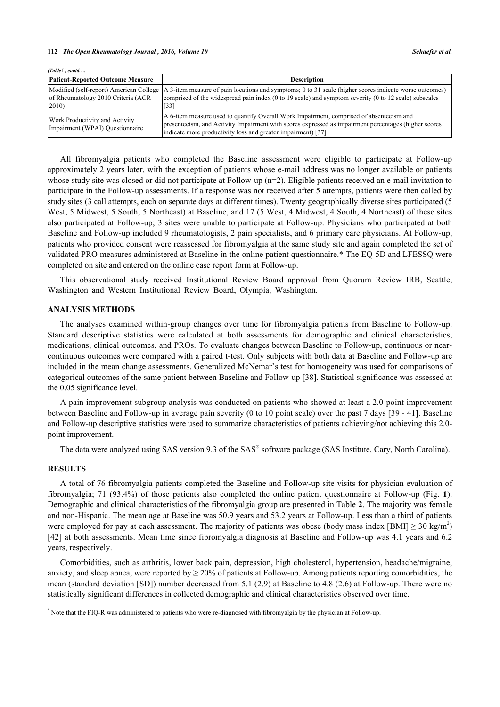*(Table ) contd.....*

| <b>Patient-Reported Outcome Measure</b>                           | <b>Description</b>                                                                                                                                                                                                                                                 |
|-------------------------------------------------------------------|--------------------------------------------------------------------------------------------------------------------------------------------------------------------------------------------------------------------------------------------------------------------|
| of Rheumatology 2010 Criteria (ACR)<br>$ 2010\rangle$             | Modified (self-report) American College  A 3-item measure of pain locations and symptoms; 0 to 31 scale (higher scores indicate worse outcomes)<br>comprised of the widespread pain index (0 to 19 scale) and symptom severity (0 to 12 scale) subscales<br>$[33]$ |
| Work Productivity and Activity<br>Impairment (WPAI) Questionnaire | A 6-item measure used to quantify Overall Work Impairment, comprised of absenteeism and<br>presenteeism, and Activity Impairment with scores expressed as impairment percentages (higher scores<br>indicate more productivity loss and greater impairment) [37]    |

All fibromyalgia patients who completed the Baseline assessment were eligible to participate at Follow-up approximately 2 years later, with the exception of patients whose e-mail address was no longer available or patients whose study site was closed or did not participate at Follow-up (n=2). Eligible patients received an e-mail invitation to participate in the Follow-up assessments. If a response was not received after 5 attempts, patients were then called by study sites (3 call attempts, each on separate days at different times). Twenty geographically diverse sites participated (5 West, 5 Midwest, 5 South, 5 Northeast) at Baseline, and 17 (5 West, 4 Midwest, 4 South, 4 Northeast) of these sites also participated at Follow-up; 3 sites were unable to participate at Follow-up. Physicians who participated at both Baseline and Follow-up included 9 rheumatologists, 2 pain specialists, and 6 primary care physicians. At Follow-up, patients who provided consent were reassessed for fibromyalgia at the same study site and again completed the set of validated PRO measures administered at Baseline in the online patient questionnaire.\* The EQ-5D and LFESSQ were completed on site and entered on the online case report form at Follow-up.

This observational study received Institutional Review Board approval from Quorum Review IRB, Seattle, Washington and Western Institutional Review Board, Olympia, Washington.

#### **ANALYSIS METHODS**

The analyses examined within-group changes over time for fibromyalgia patients from Baseline to Follow-up. Standard descriptive statistics were calculated at both assessments for demographic and clinical characteristics, medications, clinical outcomes, and PROs. To evaluate changes between Baseline to Follow-up, continuous or nearcontinuous outcomes were compared with a paired t-test. Only subjects with both data at Baseline and Follow-up are included in the mean change assessments. Generalized McNemar's test for homogeneity was used for comparisons of categorical outcomes of the same patient between Baseline and Follow-up [[38\]](#page-11-16). Statistical significance was assessed at the 0.05 significance level.

A pain improvement subgroup analysis was conducted on patients who showed at least a 2.0-point improvement between Baseline and Follow-up in average pain severity (0 to 10 point scale) over the past 7 days [[39](#page-11-17) - [41\]](#page-11-18). Baseline and Follow-up descriptive statistics were used to summarize characteristics of patients achieving/not achieving this 2.0 point improvement.

The data were analyzed using SAS version 9.3 of the SAS® software package (SAS Institute, Cary, North Carolina).

#### **RESULTS**

A total of 76 fibromyalgia patients completed the Baseline and Follow-up site visits for physician evaluation of fibromyalgia; 71 (93.4%) of those patients also completed the online patient questionnaire at Follow-up (Fig.**1**). Demographic and clinical characteristics of the fibromyalgia group are presented in Table **[2](#page-4-0)**. The majority was female and non-Hispanic. The mean age at Baseline was 50.9 years and 53.2 years at Follow-up. Less than a third of patients were employed for pay at each assessment. The majority of patients was obese (body mass index [BMI]  $\geq 30 \text{ kg/m}^2$ ) [\[42](#page-11-19)] at both assessments. Mean time since fibromyalgia diagnosis at Baseline and Follow-up was 4.1 years and 6.2 years, respectively.

Comorbidities, such as arthritis, lower back pain, depression, high cholesterol, hypertension, headache/migraine, anxiety, and sleep apnea, were reported by  $\geq 20\%$  of patients at Follow-up. Among patients reporting comorbidities, the mean (standard deviation [SD]) number decreased from 5.1 (2.9) at Baseline to 4.8 (2.6) at Follow-up. There were no statistically significant differences in collected demographic and clinical characteristics observed over time.

\* Note that the FIQ-R was administered to patients who were re-diagnosed with fibromyalgia by the physician at Follow-up.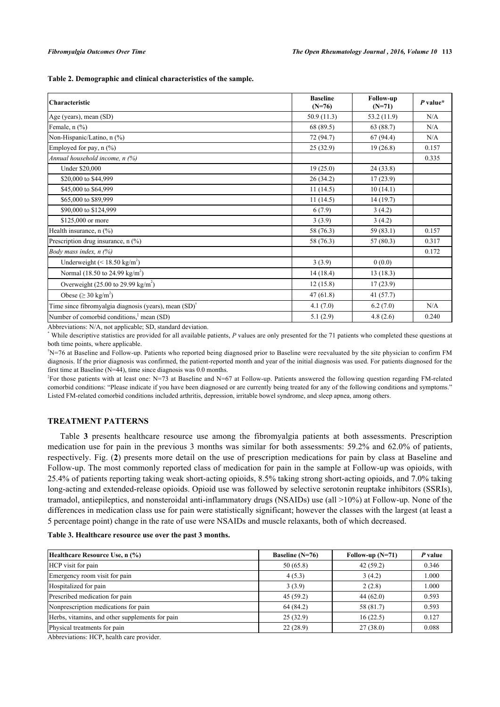<span id="page-4-0"></span>**Table 2. Demographic and clinical characteristics of the sample.**

| <b>Characteristic</b>                                            | <b>Baseline</b><br>$(N=76)$ | <b>Follow-up</b><br>$(N=71)$ | $P$ value* |
|------------------------------------------------------------------|-----------------------------|------------------------------|------------|
| Age (years), mean (SD)                                           | 50.9(11.3)                  | 53.2 (11.9)                  | N/A        |
| Female, n (%)                                                    | 68 (89.5)                   | 63 (88.7)                    | N/A        |
| Non-Hispanic/Latino, n (%)                                       | 72 (94.7)                   | 67(94.4)                     | N/A        |
| Employed for pay, n (%)                                          | 25(32.9)                    | 19(26.8)                     | 0.157      |
| Annual household income, n (%)                                   |                             |                              | 0.335      |
| <b>Under \$20,000</b>                                            | 19(25.0)                    | 24(33.8)                     |            |
| \$20,000 to \$44,999                                             | 26(34.2)                    | 17(23.9)                     |            |
| \$45,000 to \$64,999                                             | 11(14.5)                    | 10(14.1)                     |            |
| \$65,000 to \$89,999                                             | 11(14.5)                    | 14(19.7)                     |            |
| \$90,000 to \$124,999                                            | 6(7.9)                      | 3(4.2)                       |            |
| \$125,000 or more                                                | 3(3.9)                      | 3(4.2)                       |            |
| Health insurance, $n$ (%)                                        | 58 (76.3)                   | 59 (83.1)                    | 0.157      |
| Prescription drug insurance, n (%)                               | 58 (76.3)                   | 57(80.3)                     | 0.317      |
| Body mass index, $n$ (%)                                         |                             |                              | 0.172      |
| Underweight $(< 18.50 \text{ kg/m}^2)$                           | 3(3.9)                      | 0(0.0)                       |            |
| Normal (18.50 to 24.99 kg/m <sup>2</sup> )                       | 14(18.4)                    | 13(18.3)                     |            |
| Overweight $(25.00 \text{ to } 29.99 \text{ kg/m}^2)$            | 12(15.8)                    | 17(23.9)                     |            |
| Obese ( $\geq$ 30 kg/m <sup>2</sup> )                            | 47(61.8)                    | 41(57.7)                     |            |
| Time since fibromyalgia diagnosis (years), mean $(SD)^{\dagger}$ | 4.1(7.0)                    | 6.2(7.0)                     | N/A        |
| Number of comorbid conditions, <sup>†</sup> mean (SD)            | 5.1(2.9)                    | 4.8(2.6)                     | 0.240      |

Abbreviations: N/A, not applicable; SD, standard deviation.

\* While descriptive statistics are provided for all available patients, *P* values are only presented for the 71 patients who completed these questions at both time points, where applicable.

†N=76 at Baseline and Follow-up. Patients who reported being diagnosed prior to Baseline were reevaluated by the site physician to confirm FM diagnosis. If the prior diagnosis was confirmed, the patient-reported month and year of the initial diagnosis was used. For patients diagnosed for the first time at Baseline (N=44), time since diagnosis was 0.0 months.

‡ For those patients with at least one: N=73 at Baseline and N=67 at Follow-up. Patients answered the following question regarding FM-related comorbid conditions: "Please indicate if you have been diagnosed or are currently being treated for any of the following conditions and symptoms." Listed FM-related comorbid conditions included arthritis, depression, irritable bowel syndrome, and sleep apnea, among others.

#### **TREATMENT PATTERNS**

Table**3** presents healthcare resource use among the fibromyalgia patients at both assessments. Prescription medication use for pain in the previous 3 months was similar for both assessments: 59.2% and 62.0% of patients, respectively. Fig. (**[2](#page--1-0)**) presents more detail on the use of prescription medications for pain by class at Baseline and Follow-up. The most commonly reported class of medication for pain in the sample at Follow-up was opioids, with 25.4% of patients reporting taking weak short-acting opioids, 8.5% taking strong short-acting opioids, and 7.0% taking long-acting and extended-release opioids. Opioid use was followed by selective serotonin reuptake inhibitors (SSRIs), tramadol, antiepileptics, and nonsteroidal anti-inflammatory drugs (NSAIDs) use (all >10%) at Follow-up. None of the differences in medication class use for pain were statistically significant; however the classes with the largest (at least a 5 percentage point) change in the rate of use were NSAIDs and muscle relaxants, both of which decreased.

#### <span id="page-4-1"></span>**Table 3. Healthcare resource use over the past 3 months.**

| Healthcare Resource Use, n (%)                  | Baseline $(N=76)$ | Follow-up $(N=71)$ | P value |
|-------------------------------------------------|-------------------|--------------------|---------|
| HCP visit for pain                              | 50(65.8)          | 42(59.2)           | 0.346   |
| Emergency room visit for pain                   | 4(5.3)            | 3(4.2)             | 1.000   |
| Hospitalized for pain                           | 3(3.9)            | 2(2.8)             | 1.000   |
| Prescribed medication for pain                  | 45(59.2)          | 44(62.0)           | 0.593   |
| Nonprescription medications for pain            | 64(84.2)          | 58 (81.7)          | 0.593   |
| Herbs, vitamins, and other supplements for pain | 25(32.9)          | 16(22.5)           | 0.127   |
| Physical treatments for pain                    | 22(28.9)          | 27(38.0)           | 0.088   |

Abbreviations: HCP, health care provider.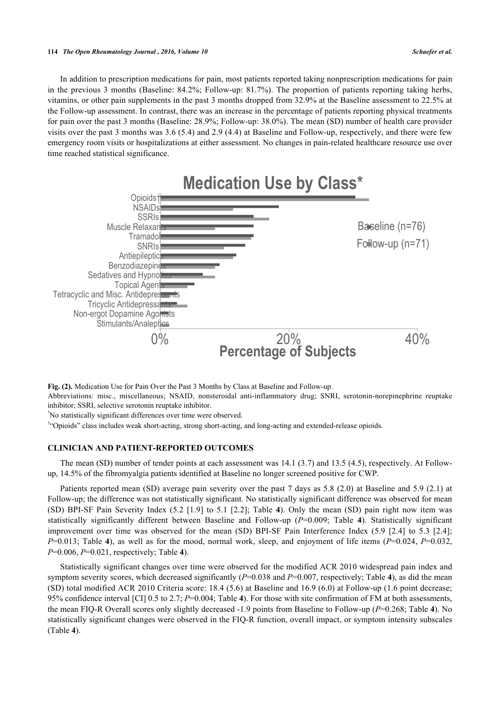In addition to prescription medications for pain, most patients reported taking nonprescription medications for pain in the previous 3 months (Baseline: 84.2%; Follow-up: 81.7%). The proportion of patients reporting taking herbs, vitamins, or other pain supplements in the past 3 months dropped from 32.9% at the Baseline assessment to 22.5% at the Follow-up assessment. In contrast, there was an increase in the percentage of patients reporting physical treatments for pain over the past 3 months (Baseline: 28.9%; Follow-up: 38.0%). The mean (SD) number of health care provider visits over the past 3 months was 3.6 (5.4) and 2.9 (4.4) at Baseline and Follow-up, respectively, and there were few emergency room visits or hospitalizations at either assessment. No changes in pain-related healthcare resource use over time reached statistical significance.



**Fig. (2).** Medication Use for Pain Over the Past 3 Months by Class at Baseline and Follow-up. Abbreviations: misc., miscellaneous; NSAID, nonsteroidal anti-inflammatory drug; SNRI, serotonin-norepinephrine reuptake inhibitor; SSRI, selective serotonin reuptake inhibitor.

\*No statistically significant differences over time were observed.

<sup>†</sup>"Opioids" class includes weak short-acting, strong short-acting, and long-acting and extended-release opioids.

### **CLINICIAN AND PATIENT-REPORTED OUTCOMES**

The mean (SD) number of tender points at each assessment was 14.1 (3.7) and 13.5 (4.5), respectively. At Followup, 14.5% of the fibromyalgia patients identified at Baseline no longer screened positive for CWP.

Patients reported mean (SD) average pain severity over the past 7 days as 5.8 (2.0) at Baseline and 5.9 (2.1) at Follow-up; the difference was not statistically significant. No statistically significant difference was observed for mean (SD) BPI-SF Pain Severity Index (5.2 [1.9] to 5.1 [2.2]; Table**4**). Only the mean (SD) pain right now item was statistically significantly different between Baseline and Follow-up (*P*=0.009; Table**4**). Statistically significant improvement over time was observed for the mean (SD) BPI-SF Pain Interference Index (5.9 [2.4] to 5.3 [2.4]; *P*=0.013; Table **[4](#page-5-0)**), as well as for the mood, normal work, sleep, and enjoyment of life items (*P*=0.024, *P*=0.032, *P*=0.006, *P*=0.021, respectively; Table **[4](#page-5-0)**).

<span id="page-5-0"></span>Statistically significant changes over time were observed for the modified ACR 2010 widespread pain index and symptom severity scores, which decreased significantly  $(P=0.038$  and  $P=0.007$ , respectively; Table [4](#page--1-0)), as did the mean (SD) total modified ACR 2010 Criteria score: 18.4 (5.6) at Baseline and 16.9 (6.0) at Follow-up (1.6 point decrease; 95% confidence interval [CI] 0.5 to 2.7; *P*=0.004; Table **[4](#page-5-0)**). For those with site confirmation of FM at both assessments, the mean FIQ-R Overall scores only slightly decreased -1.9 points from Baseline to Follow-up (*P*=0.268; Table **[4](#page-5-0)**). No statistically significant changes were observed in the FIQ-R function, overall impact, or symptom intensity subscales (Table **[4](#page-5-0)**).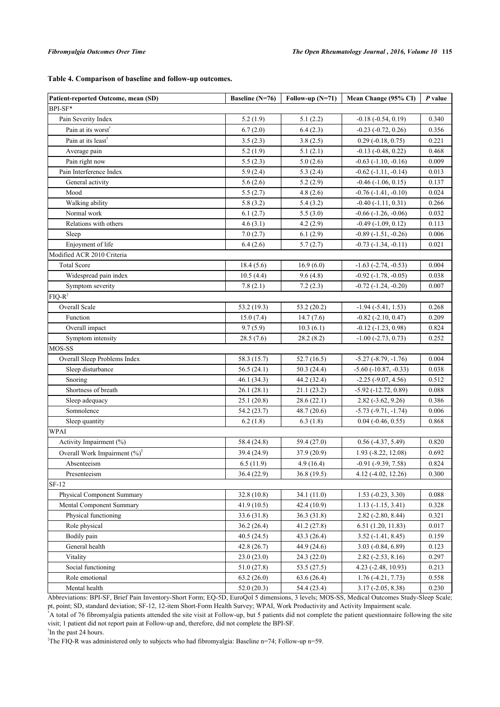# **Table 4. Comparison of baseline and follow-up outcomes.**

| Patient-reported Outcome, mean (SD) | <b>Baseline</b> (N=76) | Follow-up $(N=71)$ | Mean Change (95% CI)            | $P$ value      |
|-------------------------------------|------------------------|--------------------|---------------------------------|----------------|
| BPI-SF*                             |                        |                    |                                 |                |
| Pain Severity Index                 | 5.2(1.9)               | 5.1(2.2)           | $-0.18(-0.54, 0.19)$            | 0.340          |
| Pain at its worst <sup>†</sup>      | 6.7(2.0)               | 6.4(2.3)           | $-0.23$ $(-0.72, 0.26)$         | 0.356          |
| Pain at its least <sup>†</sup>      | 3.5(2.3)               | 3.8(2.5)           | $0.29$ ( $-0.18$ , $0.75$ )     |                |
| Average pain                        | 5.2(1.9)               | 5.1(2.1)           | $-0.13$ $(-0.48, 0.22)$         | 0.221<br>0.468 |
| Pain right now                      | 5.5(2.3)               | 5.0(2.6)           | $-0.63$ $(-1.10, -0.16)$        |                |
| Pain Interference Index             | 5.9(2.4)               | 5.3(2.4)           | $-0.62$ $(-1.11, -0.14)$        | 0.013          |
| General activity                    | 5.6(2.6)               | 5.2(2.9)           | $-0.46$ $(-1.06, 0.15)$         | 0.137          |
| Mood                                | 5.5(2.7)               | 4.8(2.6)           | $-0.76$ $(-1.41, -0.10)$        | 0.024          |
| Walking ability                     | 5.8(3.2)               | 5.4(3.2)           | $-0.40$ $(-1.11, 0.31)$         | 0.266          |
| Normal work                         | 6.1(2.7)               | 5.5(3.0)           | $-0.66$ $(-1.26, -0.06)$        | 0.032          |
| Relations with others               | 4.6(3.1)               | 4.2(2.9)           | $-0.49$ $(-1.09, 0.12)$         | 0.113          |
| Sleep                               | 7.0(2.7)               | 6.1(2.9)           | $-0.89(-1.51, -0.26)$           | 0.006          |
| Enjoyment of life                   | 6.4(2.6)               | 5.7(2.7)           | $-0.73$ $(-1.34, -0.11)$        | 0.021          |
| Modified ACR 2010 Criteria          |                        |                    |                                 |                |
| <b>Total Score</b>                  | 18.4(5.6)              | 16.9(6.0)          | $-1.63$ $(-2.74, -0.53)$        | 0.004          |
| Widespread pain index               | 10.5(4.4)              | 9.6(4.8)           | $-0.92$ ( $-1.78$ , $-0.05$ )   | 0.038          |
| Symptom severity                    | 7.8(2.1)               | 7.2(2.3)           | $-0.72$ $(-1.24, -0.20)$        | 0.007          |
| $FIO-R$ <sup>‡</sup>                |                        |                    |                                 |                |
| Overall Scale                       | 53.2 (19.3)            | 53.2(20.2)         | $-1.94$ $(-5.41, 1.53)$         | 0.268          |
| Function                            | 15.0(7.4)              | 14.7(7.6)          | $-0.82$ $(-2.10, 0.47)$         | 0.209          |
| Overall impact                      | 9.7(5.9)               | 10.3(6.1)          | $-0.12$ $(-1.23, 0.98)$         | 0.824          |
| Symptom intensity                   | 28.5(7.6)              | 28.2(8.2)          | $-1.00$ $(-2.73, 0.73)$         | 0.252          |
| MOS-SS                              |                        |                    |                                 |                |
| Overall Sleep Problems Index        | 58.3 (15.7)            | 52.7(16.5)         | $-5.27$ $(-8.79, -1.76)$        | 0.004          |
| Sleep disturbance                   | 56.5(24.1)             | 50.3(24.4)         | $-5.60$ ( $-10.87$ , $-0.33$ )  | 0.038          |
| Snoring                             | 46.1(34.3)             | 44.2 (32.4)        | $-2.25$ $(-9.07, 4.56)$         | 0.512          |
| Shortness of breath                 | 26.1(28.1)             | 21.1(23.2)         | $-5.92$ $(-12.72, 0.89)$        | 0.088          |
| Sleep adequacy                      | 25.1(20.8)             | 28.6(22.1)         | $2.82(-3.62, 9.26)$             | 0.386          |
| Somnolence                          | 54.2 (23.7)            | 48.7(20.6)         | $-5.73$ $(-9.71, -1.74)$        | 0.006          |
| Sleep quantity                      | 6.2(1.8)               | 6.3(1.8)           | $0.04$ ( $-0.46$ , $0.55$ )     | 0.868          |
| <b>WPAI</b>                         |                        |                    |                                 |                |
| Activity Impairment (%)             | 58.4 (24.8)            | 59.4 (27.0)        | $0.56$ (-4.37, 5.49)            | 0.820          |
| Overall Work Impairment $(\%)^{\S}$ | 39.4 (24.9)            | 37.9 (20.9)        | 1.93 (-8.22, 12.08)             | 0.692          |
| Absenteeism                         | 6.5(11.9)              | 4.9(16.4)          | $-0.91$ $(-9.39, 7.58)$         | 0.824          |
| Presenteeism                        | 36.4 (22.9)            | 36.8 (19.5)        | 4.12 (-4.02, 12.26)             | 0.300          |
| $SF-12$                             |                        |                    |                                 |                |
| Physical Component Summary          | 32.8(10.8)             | 34.1 (11.0)        | $1.53(-0.23, 3.30)$             | 0.088          |
| Mental Component Summary            | 41.9(10.5)             | 42.4 (10.9)        | $1.13(-1.15, 3.41)$             | 0.328<br>0.321 |
| Physical functioning                | 33.6 (31.8)            | 36.3 (31.8)        | $2.82$ (-2.80, 8.44)            |                |
| Role physical                       | 36.2(26.4)             |                    | 41.2(27.8)<br>6.51(1.20, 11.83) |                |
| Bodily pain                         | 40.5(24.5)             | 43.3(26.4)         | $3.52(-1.41, 8.45)$             |                |
| General health                      | 42.8 (26.7)            | 44.9 (24.6)        | $3.03$ ( $-0.84$ , $6.89$ )     | 0.123          |
| Vitality                            | 23.0(23.0)             | 24.3(22.0)         | $2.82$ (-2.53, 8.16)            | 0.297          |
| Social functioning                  | 51.0(27.8)             | 53.5(27.5)         | 4.23 (-2.48, 10.93)             | 0.213          |
| Role emotional                      | 63.2(26.0)             | 63.6 (26.4)        | $1.76(-4.21, 7.73)$             | 0.558          |
| Mental health                       | 52.0(20.3)             | 54.4 (23.4)        | $3.17(-2.05, 8.38)$             | 0.230          |

Abbreviations: BPI-SF, Brief Pain Inventory-Short Form; EQ-5D, EuroQol 5 dimensions, 3 levels; MOS-SS, Medical Outcomes Study-Sleep Scale; pt, point; SD, standard deviation; SF-12, 12-item Short-Form Health Survey; WPAI, Work Productivity and Activity Impairment scale.

\*A total of 76 fibromyalgia patients attended the site visit at Follow-up, but 5 patients did not complete the patient questionnaire following the site visit; 1 patient did not report pain at Follow-up and, therefore, did not complete the BPI-SF.

<sup>†</sup>In the past 24 hours.

‡ The FIQ-R was administered only to subjects who had fibromyalgia: Baseline n=74; Follow-up n=59.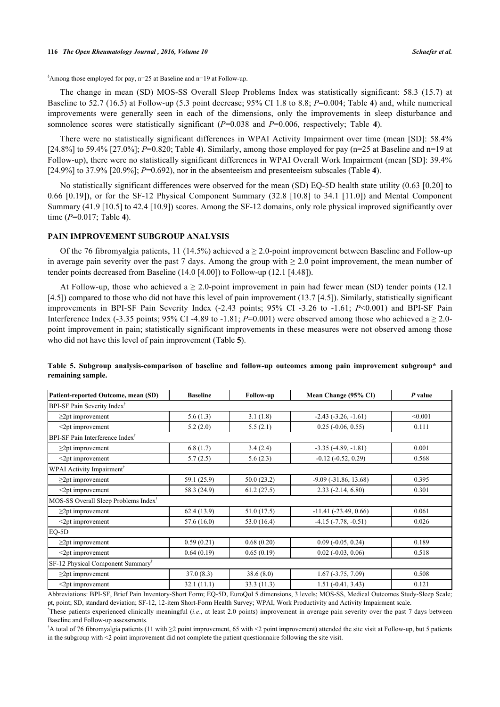§Among those employed for pay, n=25 at Baseline and n=19 at Follow-up.

The change in mean (SD) MOS-SS Overall Sleep Problems Index was statistically significant: 58.3 (15.7) at Baseline to 52.7 (16.5) at Follow-up (5.3 point decrease; 95% CI 1.8 to 8.8; *P*=0.004; Table **[4](#page-5-0)**) and, while numerical improvements were generally seen in each of the dimensions, only the improvements in sleep disturbance and somnolence scores were statistically significant (*P*=0.038 and *P*=0.006, respectively; Table**4**).

There were no statistically significant differences in WPAI Activity Impairment over time (mean [SD]: 58.4% [24.8%] to 59.4% [27.0%]; *P*=0.820; Table **[4](#page-5-0)**). Similarly, among those employed for pay (n=25 at Baseline and n=19 at Follow-up), there were no statistically significant differences in WPAI Overall Work Impairment (mean [SD]: 39.4%  $[24.9\%]$  $[24.9\%]$  $[24.9\%]$  to 37.9%  $[20.9\%]$ ;  $P=0.692$ ), nor in the absenteeism and presenteeism subscales (Table 4).

No statistically significant differences were observed for the mean (SD) EQ-5D health state utility (0.63 [0.20] to 0.66 [0.19]), or for the SF-12 Physical Component Summary (32.8 [10.8] to 34.1 [11.0]) and Mental Component Summary (41.9 [10.5] to 42.4 [10.9]) scores. Among the SF-12 domains, only role physical improved significantly over time (*P*=0.017; Table **[4](#page-5-0)**).

# **PAIN IMPROVEMENT SUBGROUP ANALYSIS**

Of the 76 fibromyalgia patients, 11 (14.5%) achieved a  $\geq$  2.0-point improvement between Baseline and Follow-up in average pain severity over the past 7 days. Among the group with  $\geq 2.0$  point improvement, the mean number of tender points decreased from Baseline (14.0 [4.00]) to Follow-up (12.1 [4.48]).

At Follow-up, those who achieved a  $\geq$  2.0-point improvement in pain had fewer mean (SD) tender points (12.1) [4.5]) compared to those who did not have this level of pain improvement (13.7 [4.5]). Similarly, statistically significant improvements in BPI-SF Pain Severity Index (-2.43 points; 95% CI -3.26 to -1.61; *P*<0.001) and BPI-SF Pain Interference Index (-3.35 points; 95% CI -4.89 to -1.81;  $P=0.001$ ) were observed among those who achieved a  $\geq$  2.0point improvement in pain; statistically significant improvements in these measures were not observed among those who did not have this level of pain improvement (Table **[5](#page-7-0)**).

<span id="page-7-0"></span>

| Table 5. Subgroup analysis-comparison of baseline and follow-up outcomes among pain improvement subgroup* and<br>remaining sample. |                 |                  |                      |                |  |
|------------------------------------------------------------------------------------------------------------------------------------|-----------------|------------------|----------------------|----------------|--|
| <b>Patient-reported Outcome, mean (SD)</b>                                                                                         | <b>Baseline</b> | <b>Follow-up</b> | Mean Change (95% CI) | <i>P</i> value |  |

| Patient-reported Outcome, mean (SD)              | <b>Baseline</b> | <b>Follow-up</b> | Mean Change (95% CI)        | P value |
|--------------------------------------------------|-----------------|------------------|-----------------------------|---------|
| BPI-SF Pain Severity Index <sup>†</sup>          |                 |                  |                             |         |
| $\geq$ 2pt improvement                           | 5.6(1.3)        | 3.1(1.8)         | $-2.43$ $(-3.26, -1.61)$    | < 0.001 |
| $<$ 2pt improvement                              | 5.2(2.0)        | 5.5(2.1)         | $0.25$ ( $-0.06$ , $0.55$ ) | 0.111   |
| BPI-SF Pain Interference Index <sup>†</sup>      |                 |                  |                             |         |
| $\geq$ 2pt improvement                           | 6.8(1.7)        | 3.4(2.4)         | $-3.35(-4.89, -1.81)$       | 0.001   |
| $<$ 2pt improvement                              | 5.7(2.5)        | 5.6(2.3)         | $-0.12$ $(-0.52, 0.29)$     | 0.568   |
| WPAI Activity Impairment <sup>†</sup>            |                 |                  |                             |         |
| $\geq$ 2pt improvement                           | 59.1 (25.9)     | 50.0(23.2)       | $-9.09(-31.86, 13.68)$      | 0.395   |
| $<$ 2pt improvement                              | 58.3 (24.9)     | 61.2(27.5)       | $2.33(-2.14, 6.80)$         | 0.301   |
| MOS-SS Overall Sleep Problems Index <sup>†</sup> |                 |                  |                             |         |
| $\geq$ 2pt improvement                           | 62.4(13.9)      | 51.0 (17.5)      | $-11.41$ ( $-23.49, 0.66$ ) | 0.061   |
| $\leq$ pt improvement                            | 57.6 (16.0)     | 53.0 (16.4)      | $-4.15(-7.78, -0.51)$       | 0.026   |
| $EQ-5D$                                          |                 |                  |                             |         |
| $\geq$ 2pt improvement                           | 0.59(0.21)      | 0.68(0.20)       | $0.09$ ( $-0.05$ , $0.24$ ) | 0.189   |
| $<$ 2pt improvement                              | 0.64(0.19)      | 0.65(0.19)       | $0.02$ ( $-0.03$ , $0.06$ ) | 0.518   |
| SF-12 Physical Component Summary <sup>†</sup>    |                 |                  |                             |         |
| $\geq$ 2pt improvement                           | 37.0(8.3)       | 38.6(8.0)        | $1.67(-3.75, 7.09)$         | 0.508   |
| $\leq$ 2pt improvement                           | 32.1(11.1)      | 33.3(11.3)       | $1.51(-0.41, 3.43)$         | 0.121   |
|                                                  |                 |                  |                             |         |

Abbreviations: BPI-SF, Brief Pain Inventory-Short Form; EQ-5D, EuroQol 5 dimensions, 3 levels; MOS-SS, Medical Outcomes Study-Sleep Scale; pt, point; SD, standard deviation; SF-12, 12-item Short-Form Health Survey; WPAI, Work Productivity and Activity Impairment scale.

\* These patients experienced clinically meaningful (*i.e*., at least 2.0 points) improvement in average pain severity over the past 7 days between Baseline and Follow-up assessments.

†A total of 76 fibromyalgia patients (11 with ≥2 point improvement, 65 with <2 point improvement) attended the site visit at Follow-up, but 5 patients in the subgroup with <2 point improvement did not complete the patient questionnaire following the site visit.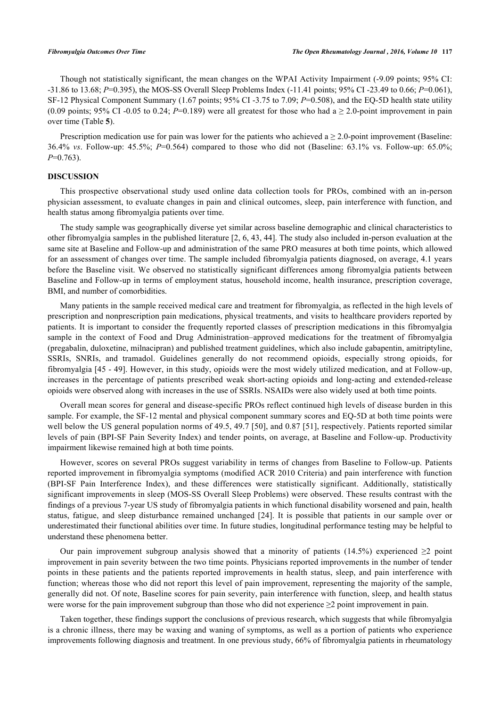Though not statistically significant, the mean changes on the WPAI Activity Impairment (-9.09 points; 95% CI: -31.86 to 13.68; *P*=0.395), the MOS-SS Overall Sleep Problems Index (-11.41 points; 95% CI -23.49 to 0.66; *P*=0.061), SF-12 Physical Component Summary (1.67 points; 95% CI -3.75 to 7.09; *P*=0.508), and the EQ-5D health state utility (0.09 points; 95% CI -0.05 to 0.24;  $P=0.189$ ) were all greatest for those who had a  $\geq$  2.0-point improvement in pain over time (Table **[5](#page-7-0)**).

Prescription medication use for pain was lower for the patients who achieved  $a \ge 2.0$ -point improvement (Baseline: 36.4% *vs*. Follow-up: 45.5%; *P*=0.564) compared to those who did not (Baseline: 63.1% vs. Follow-up: 65.0%; *P*=0.763).

#### **DISCUSSION**

This prospective observational study used online data collection tools for PROs, combined with an in-person physician assessment, to evaluate changes in pain and clinical outcomes, sleep, pain interference with function, and health status among fibromyalgia patients over time.

The study sample was geographically diverse yet similar across baseline demographic and clinical characteristics to other fibromyalgia samples in the published literature [[2,](#page-10-4) [6,](#page-10-3) [43](#page-12-0), [44](#page-12-1)]. The study also included in-person evaluation at the same site at Baseline and Follow-up and administration of the same PRO measures at both time points, which allowed for an assessment of changes over time. The sample included fibromyalgia patients diagnosed, on average, 4.1 years before the Baseline visit. We observed no statistically significant differences among fibromyalgia patients between Baseline and Follow-up in terms of employment status, household income, health insurance, prescription coverage, BMI, and number of comorbidities.

Many patients in the sample received medical care and treatment for fibromyalgia, as reflected in the high levels of prescription and nonprescription pain medications, physical treatments, and visits to healthcare providers reported by patients. It is important to consider the frequently reported classes of prescription medications in this fibromyalgia sample in the context of Food and Drug Administration–approved medications for the treatment of fibromyalgia (pregabalin, duloxetine, milnacipran) and published treatment guidelines, which also include gabapentin, amitriptyline, SSRIs, SNRIs, and tramadol. Guidelines generally do not recommend opioids, especially strong opioids, for fibromyalgia [[45](#page-12-2) - [49\]](#page-12-3). However, in this study, opioids were the most widely utilized medication, and at Follow-up, increases in the percentage of patients prescribed weak short-acting opioids and long-acting and extended-release opioids were observed along with increases in the use of SSRIs. NSAIDs were also widely used at both time points.

Overall mean scores for general and disease-specific PROs reflect continued high levels of disease burden in this sample. For example, the SF-12 mental and physical component summary scores and EQ-5D at both time points were well below the US general population norms of 49.5, 49.7 [[50](#page-12-4)], and 0.87 [[51](#page-12-5)], respectively. Patients reported similar levels of pain (BPI-SF Pain Severity Index) and tender points, on average, at Baseline and Follow-up. Productivity impairment likewise remained high at both time points.

However, scores on several PROs suggest variability in terms of changes from Baseline to Follow-up. Patients reported improvement in fibromyalgia symptoms (modified ACR 2010 Criteria) and pain interference with function (BPI-SF Pain Interference Index), and these differences were statistically significant. Additionally, statistically significant improvements in sleep (MOS-SS Overall Sleep Problems) were observed. These results contrast with the findings of a previous 7-year US study of fibromyalgia patients in which functional disability worsened and pain, health status, fatigue, and sleep disturbance remained unchanged[[24\]](#page-11-0). It is possible that patients in our sample over or underestimated their functional abilities over time. In future studies, longitudinal performance testing may be helpful to understand these phenomena better.

Our pain improvement subgroup analysis showed that a minority of patients (14.5%) experienced  $\geq 2$  point improvement in pain severity between the two time points. Physicians reported improvements in the number of tender points in these patients and the patients reported improvements in health status, sleep, and pain interference with function; whereas those who did not report this level of pain improvement, representing the majority of the sample, generally did not. Of note, Baseline scores for pain severity, pain interference with function, sleep, and health status were worse for the pain improvement subgroup than those who did not experience  $\geq 2$  point improvement in pain.

Taken together, these findings support the conclusions of previous research, which suggests that while fibromyalgia is a chronic illness, there may be waxing and waning of symptoms, as well as a portion of patients who experience improvements following diagnosis and treatment. In one previous study, 66% of fibromyalgia patients in rheumatology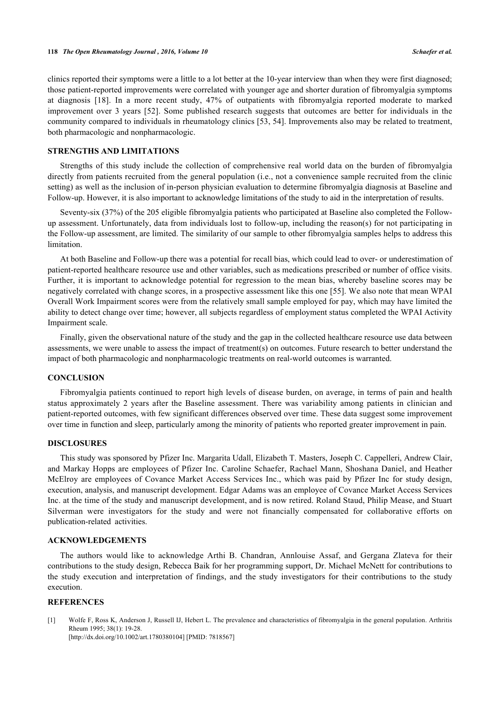clinics reported their symptoms were a little to a lot better at the 10-year interview than when they were first diagnosed; those patient-reported improvements were correlated with younger age and shorter duration of fibromyalgia symptoms at diagnosis[[18](#page-10-10)]. In a more recent study, 47% of outpatients with fibromyalgia reported moderate to marked improvement over 3 years [\[52](#page-12-6)]. Some published research suggests that outcomes are better for individuals in the community compared to individuals in rheumatology clinics [\[53](#page-12-7), [54\]](#page-12-8). Improvements also may be related to treatment, both pharmacologic and nonpharmacologic.

# **STRENGTHS AND LIMITATIONS**

Strengths of this study include the collection of comprehensive real world data on the burden of fibromyalgia directly from patients recruited from the general population (i.e., not a convenience sample recruited from the clinic setting) as well as the inclusion of in-person physician evaluation to determine fibromyalgia diagnosis at Baseline and Follow-up. However, it is also important to acknowledge limitations of the study to aid in the interpretation of results.

Seventy-six (37%) of the 205 eligible fibromyalgia patients who participated at Baseline also completed the Followup assessment. Unfortunately, data from individuals lost to follow-up, including the reason(s) for not participating in the Follow-up assessment, are limited. The similarity of our sample to other fibromyalgia samples helps to address this limitation.

At both Baseline and Follow-up there was a potential for recall bias, which could lead to over- or underestimation of patient-reported healthcare resource use and other variables, such as medications prescribed or number of office visits. Further, it is important to acknowledge potential for regression to the mean bias, whereby baseline scores may be negatively correlated with change scores, in a prospective assessment like this one [\[55\]](#page-12-9). We also note that mean WPAI Overall Work Impairment scores were from the relatively small sample employed for pay, which may have limited the ability to detect change over time; however, all subjects regardless of employment status completed the WPAI Activity Impairment scale.

Finally, given the observational nature of the study and the gap in the collected healthcare resource use data between assessments, we were unable to assess the impact of treatment(s) on outcomes. Future research to better understand the impact of both pharmacologic and nonpharmacologic treatments on real-world outcomes is warranted.

#### **CONCLUSION**

Fibromyalgia patients continued to report high levels of disease burden, on average, in terms of pain and health status approximately 2 years after the Baseline assessment. There was variability among patients in clinician and patient-reported outcomes, with few significant differences observed over time. These data suggest some improvement over time in function and sleep, particularly among the minority of patients who reported greater improvement in pain.

#### **DISCLOSURES**

This study was sponsored by Pfizer Inc. Margarita Udall, Elizabeth T. Masters, Joseph C. Cappelleri, Andrew Clair, and Markay Hopps are employees of Pfizer Inc. Caroline Schaefer, Rachael Mann, Shoshana Daniel, and Heather McElroy are employees of Covance Market Access Services Inc., which was paid by Pfizer Inc for study design, execution, analysis, and manuscript development. Edgar Adams was an employee of Covance Market Access Services Inc. at the time of the study and manuscript development, and is now retired. Roland Staud, Philip Mease, and Stuart Silverman were investigators for the study and were not financially compensated for collaborative efforts on publication-related activities.

#### **ACKNOWLEDGEMENTS**

The authors would like to acknowledge Arthi B. Chandran, Annlouise Assaf, and Gergana Zlateva for their contributions to the study design, Rebecca Baik for her programming support, Dr. Michael McNett for contributions to the study execution and interpretation of findings, and the study investigators for their contributions to the study execution.

#### **REFERENCES**

<span id="page-9-0"></span>[1] Wolfe F, Ross K, Anderson J, Russell IJ, Hebert L. The prevalence and characteristics of fibromyalgia in the general population. Arthritis Rheum 1995; 38(1): 19-28. [\[http://dx.doi.org/10.1002/art.1780380104](http://dx.doi.org/10.1002/art.1780380104)] [PMID: [7818567\]](http://www.ncbi.nlm.nih.gov/pubmed/7818567)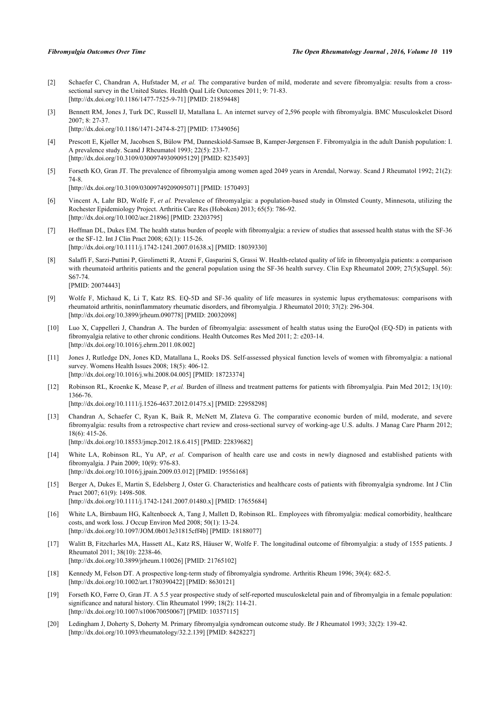- <span id="page-10-4"></span>[2] Schaefer C, Chandran A, Hufstader M, *et al.* The comparative burden of mild, moderate and severe fibromyalgia: results from a crosssectional survey in the United States. Health Qual Life Outcomes 2011; 9: 71-83. [\[http://dx.doi.org/10.1186/1477-7525-9-71\]](http://dx.doi.org/10.1186/1477-7525-9-71) [PMID: [21859448](http://www.ncbi.nlm.nih.gov/pubmed/21859448)]
- <span id="page-10-0"></span>[3] Bennett RM, Jones J, Turk DC, Russell IJ, Matallana L. An internet survey of 2,596 people with fibromyalgia. BMC Musculoskelet Disord 2007; 8: 27-37. [\[http://dx.doi.org/10.1186/1471-2474-8-27\]](http://dx.doi.org/10.1186/1471-2474-8-27) [PMID: [17349056](http://www.ncbi.nlm.nih.gov/pubmed/17349056)]
- <span id="page-10-1"></span>[4] Prescott E, Kjøller M, Jacobsen S, Bülow PM, Danneskiold-Samsøe B, Kamper-Jørgensen F. Fibromyalgia in the adult Danish population: I. A prevalence study. Scand J Rheumatol 1993; 22(5): 233-7. [\[http://dx.doi.org/10.3109/03009749309095129\]](http://dx.doi.org/10.3109/03009749309095129) [PMID: [8235493](http://www.ncbi.nlm.nih.gov/pubmed/8235493)]
- <span id="page-10-2"></span>[5] Forseth KO, Gran JT. The prevalence of fibromyalgia among women aged 2049 years in Arendal, Norway. Scand J Rheumatol 1992; 21(2): 74-8. [\[http://dx.doi.org/10.3109/03009749209095071\]](http://dx.doi.org/10.3109/03009749209095071) [PMID: [1570493](http://www.ncbi.nlm.nih.gov/pubmed/1570493)]
- <span id="page-10-3"></span>[6] Vincent A, Lahr BD, Wolfe F, *et al.* Prevalence of fibromyalgia: a population-based study in Olmsted County, Minnesota, utilizing the Rochester Epidemiology Project. Arthritis Care Res (Hoboken) 2013; 65(5): 786-92. [\[http://dx.doi.org/10.1002/acr.21896\]](http://dx.doi.org/10.1002/acr.21896) [PMID: [23203795](http://www.ncbi.nlm.nih.gov/pubmed/23203795)]
- <span id="page-10-5"></span>[7] Hoffman DL, Dukes EM. The health status burden of people with fibromyalgia: a review of studies that assessed health status with the SF-36 or the SF-12. Int J Clin Pract 2008; 62(1): 115-26. [\[http://dx.doi.org/10.1111/j.1742-1241.2007.01638.x\]](http://dx.doi.org/10.1111/j.1742-1241.2007.01638.x) [PMID: [18039330](http://www.ncbi.nlm.nih.gov/pubmed/18039330)]
- [8] Salaffi F, Sarzi-Puttini P, Girolimetti R, Atzeni F, Gasparini S, Grassi W. Health-related quality of life in fibromyalgia patients: a comparison with rheumatoid arthritis patients and the general population using the SF-36 health survey. Clin Exp Rheumatol 2009; 27(5)(Suppl. 56): S67-74. [PMID: [20074443\]](http://www.ncbi.nlm.nih.gov/pubmed/20074443)
- [9] Wolfe F, Michaud K, Li T, Katz RS. EQ-5D and SF-36 quality of life measures in systemic lupus erythematosus: comparisons with rheumatoid arthritis, noninflammatory rheumatic disorders, and fibromyalgia. J Rheumatol 2010; 37(2): 296-304. [\[http://dx.doi.org/10.3899/jrheum.090778](http://dx.doi.org/10.3899/jrheum.090778)] [PMID: [20032098](http://www.ncbi.nlm.nih.gov/pubmed/20032098)]
- [10] Luo X, Cappelleri J, Chandran A. The burden of fibromyalgia: assessment of health status using the EuroQol (EQ-5D) in patients with fibromyalgia relative to other chronic conditions. Health Outcomes Res Med 2011; 2: e203-14. [\[http://dx.doi.org/10.1016/j.ehrm.2011.08.002](http://dx.doi.org/10.1016/j.ehrm.2011.08.002)]
- [11] Jones J, Rutledge DN, Jones KD, Matallana L, Rooks DS. Self-assessed physical function levels of women with fibromyalgia: a national survey. Womens Health Issues 2008; 18(5): 406-12. [\[http://dx.doi.org/10.1016/j.whi.2008.04.005](http://dx.doi.org/10.1016/j.whi.2008.04.005)] [PMID: [18723374\]](http://www.ncbi.nlm.nih.gov/pubmed/18723374)
- <span id="page-10-7"></span>[12] Robinson RL, Kroenke K, Mease P, *et al.* Burden of illness and treatment patterns for patients with fibromyalgia. Pain Med 2012; 13(10): 1366-76.

[\[http://dx.doi.org/10.1111/j.1526-4637.2012.01475.x\]](http://dx.doi.org/10.1111/j.1526-4637.2012.01475.x) [PMID: [22958298](http://www.ncbi.nlm.nih.gov/pubmed/22958298)]

- <span id="page-10-6"></span>[13] Chandran A, Schaefer C, Ryan K, Baik R, McNett M, Zlateva G. The comparative economic burden of mild, moderate, and severe fibromyalgia: results from a retrospective chart review and cross-sectional survey of working-age U.S. adults. J Manag Care Pharm 2012; 18(6): 415-26.
	- [\[http://dx.doi.org/10.18553/jmcp.2012.18.6.415\]](http://dx.doi.org/10.18553/jmcp.2012.18.6.415) [PMID: [22839682](http://www.ncbi.nlm.nih.gov/pubmed/22839682)]
- [14] White LA, Robinson RL, Yu AP, *et al.* Comparison of health care use and costs in newly diagnosed and established patients with fibromyalgia. J Pain 2009; 10(9): 976-83. [\[http://dx.doi.org/10.1016/j.jpain.2009.03.012](http://dx.doi.org/10.1016/j.jpain.2009.03.012)] [PMID: [19556168\]](http://www.ncbi.nlm.nih.gov/pubmed/19556168)
- [15] Berger A, Dukes E, Martin S, Edelsberg J, Oster G. Characteristics and healthcare costs of patients with fibromyalgia syndrome. Int J Clin Pract 2007; 61(9): 1498-508. [\[http://dx.doi.org/10.1111/j.1742-1241.2007.01480.x\]](http://dx.doi.org/10.1111/j.1742-1241.2007.01480.x) [PMID: [17655684](http://www.ncbi.nlm.nih.gov/pubmed/17655684)]
- <span id="page-10-8"></span>[16] White LA, Birnbaum HG, Kaltenboeck A, Tang J, Mallett D, Robinson RL. Employees with fibromyalgia: medical comorbidity, healthcare costs, and work loss. J Occup Environ Med 2008; 50(1): 13-24. [\[http://dx.doi.org/10.1097/JOM.0b013e31815cff4b](http://dx.doi.org/10.1097/JOM.0b013e31815cff4b)] [PMID: [18188077\]](http://www.ncbi.nlm.nih.gov/pubmed/18188077)
- <span id="page-10-9"></span>[17] Walitt B, Fitzcharles MA, Hassett AL, Katz RS, Häuser W, Wolfe F. The longitudinal outcome of fibromyalgia: a study of 1555 patients. J Rheumatol 2011; 38(10): 2238-46. [\[http://dx.doi.org/10.3899/jrheum.110026](http://dx.doi.org/10.3899/jrheum.110026)] [PMID: [21765102](http://www.ncbi.nlm.nih.gov/pubmed/21765102)]
- <span id="page-10-10"></span>[18] Kennedy M, Felson DT. A prospective long-term study of fibromyalgia syndrome. Arthritis Rheum 1996; 39(4): 682-5. [\[http://dx.doi.org/10.1002/art.1780390422](http://dx.doi.org/10.1002/art.1780390422)] [PMID: [8630121\]](http://www.ncbi.nlm.nih.gov/pubmed/8630121)
- [19] Forseth KO, Førre O, Gran JT. A 5.5 year prospective study of self-reported musculoskeletal pain and of fibromyalgia in a female population: significance and natural history. Clin Rheumatol 1999; 18(2): 114-21. [\[http://dx.doi.org/10.1007/s100670050067\]](http://dx.doi.org/10.1007/s100670050067) [PMID: [10357115](http://www.ncbi.nlm.nih.gov/pubmed/10357115)]
- <span id="page-10-11"></span>[20] Ledingham J, Doherty S, Doherty M. Primary fibromyalgia syndromean outcome study. Br J Rheumatol 1993; 32(2): 139-42. [\[http://dx.doi.org/10.1093/rheumatology/32.2.139](http://dx.doi.org/10.1093/rheumatology/32.2.139)] [PMID: [8428227](http://www.ncbi.nlm.nih.gov/pubmed/8428227)]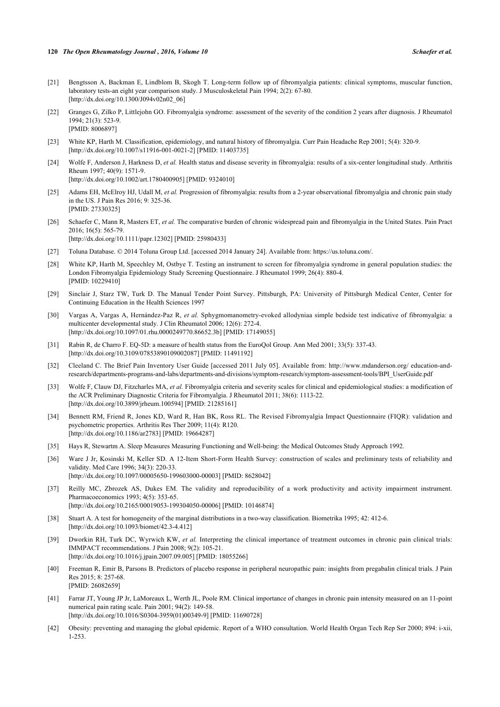- [21] Bengtsson A, Backman E, Lindblom B, Skogh T. Long-term follow up of fibromyalgia patients: clinical symptoms, muscular function, laboratory tests-an eight year comparison study. J Musculoskeletal Pain 1994; 2(2): 67-80. [\[http://dx.doi.org/10.1300/J094v02n02\\_06\]](http://dx.doi.org/10.1300/J094v02n02_06)
- <span id="page-11-1"></span>[22] Granges G, Zilko P, Littlejohn GO. Fibromyalgia syndrome: assessment of the severity of the condition 2 years after diagnosis. J Rheumatol 1994; 21(3): 523-9. [PMID: [8006897\]](http://www.ncbi.nlm.nih.gov/pubmed/8006897)
- <span id="page-11-2"></span>[23] White KP, Harth M. Classification, epidemiology, and natural history of fibromyalgia. Curr Pain Headache Rep 2001; 5(4): 320-9. [\[http://dx.doi.org/10.1007/s11916-001-0021-2\]](http://dx.doi.org/10.1007/s11916-001-0021-2) [PMID: [11403735](http://www.ncbi.nlm.nih.gov/pubmed/11403735)]
- <span id="page-11-0"></span>[24] Wolfe F, Anderson J, Harkness D, *et al.* Health status and disease severity in fibromyalgia: results of a six-center longitudinal study. Arthritis Rheum 1997; 40(9): 1571-9. [\[http://dx.doi.org/10.1002/art.1780400905](http://dx.doi.org/10.1002/art.1780400905)] [PMID: [9324010\]](http://www.ncbi.nlm.nih.gov/pubmed/9324010)
- <span id="page-11-3"></span>[25] Adams EH, McElroy HJ, Udall M, *et al.* Progression of fibromyalgia: results from a 2-year observational fibromyalgia and chronic pain study in the US. J Pain Res 2016; 9: 325-36. [PMID: [27330325\]](http://www.ncbi.nlm.nih.gov/pubmed/27330325)
- <span id="page-11-4"></span>[26] Schaefer C, Mann R, Masters ET, *et al.* The comparative burden of chronic widespread pain and fibromyalgia in the United States. Pain Pract 2016; 16(5): 565-79. [\[http://dx.doi.org/10.1111/papr.12302](http://dx.doi.org/10.1111/papr.12302)] [PMID: [25980433\]](http://www.ncbi.nlm.nih.gov/pubmed/25980433)
- <span id="page-11-5"></span>[27] Toluna Database. © 2014 Toluna Group Ltd. [accessed 2014 January 24]. Available from:<https://us.toluna.com/>.
- <span id="page-11-6"></span>[28] White KP, Harth M, Speechley M, Ostbye T. Testing an instrument to screen for fibromyalgia syndrome in general population studies: the London Fibromyalgia Epidemiology Study Screening Questionnaire. J Rheumatol 1999; 26(4): 880-4. [PMID: [10229410\]](http://www.ncbi.nlm.nih.gov/pubmed/10229410)
- <span id="page-11-7"></span>[29] Sinclair J, Starz TW, Turk D. The Manual Tender Point Survey. Pittsburgh, PA: University of Pittsburgh Medical Center, Center for Continuing Education in the Health Sciences 1997
- <span id="page-11-8"></span>[30] Vargas A, Vargas A, Hernández-Paz R, *et al.* Sphygmomanometry-evoked allodyniaa simple bedside test indicative of fibromyalgia: a multicenter developmental study. J Clin Rheumatol 2006; 12(6): 272-4. [\[http://dx.doi.org/10.1097/01.rhu.0000249770.86652.3b](http://dx.doi.org/10.1097/01.rhu.0000249770.86652.3b)] [PMID: [17149055](http://www.ncbi.nlm.nih.gov/pubmed/17149055)]
- <span id="page-11-9"></span>[31] Rabin R, de Charro F. EQ-5D: a measure of health status from the EuroQol Group. Ann Med 2001; 33(5): 337-43. [\[http://dx.doi.org/10.3109/07853890109002087\]](http://dx.doi.org/10.3109/07853890109002087) [PMID: [11491192](http://www.ncbi.nlm.nih.gov/pubmed/11491192)]
- <span id="page-11-10"></span>[32] Cleeland C. The Brief Pain Inventory User Guide [accessed 2011 July 05]. Available from: [http://www.mdanderson.org/ education-and](http://www.mdanderson.org/education-and-research/departments-programs-and-labs/departments-and-divisions/symptom-research/symptom-assessment-tools/BPI_UserGuide.pdf)[research/departments-programs-and-labs/departments-and-divisions/symptom-research/symptom-assessment-tools/BPI\\_UserGuide.pdf](http://www.mdanderson.org/education-and-research/departments-programs-and-labs/departments-and-divisions/symptom-research/symptom-assessment-tools/BPI_UserGuide.pdf)
- <span id="page-11-11"></span>[33] Wolfe F, Clauw DJ, Fitzcharles MA, *et al.* Fibromyalgia criteria and severity scales for clinical and epidemiological studies: a modification of the ACR Preliminary Diagnostic Criteria for Fibromyalgia. J Rheumatol 2011; 38(6): 1113-22. [\[http://dx.doi.org/10.3899/jrheum.100594](http://dx.doi.org/10.3899/jrheum.100594)] [PMID: [21285161](http://www.ncbi.nlm.nih.gov/pubmed/21285161)]
- <span id="page-11-12"></span>[34] Bennett RM, Friend R, Jones KD, Ward R, Han BK, Ross RL. The Revised Fibromyalgia Impact Questionnaire (FIQR): validation and psychometric properties. Arthritis Res Ther 2009; 11(4): R120. [\[http://dx.doi.org/10.1186/ar2783](http://dx.doi.org/10.1186/ar2783)] [PMID: [19664287\]](http://www.ncbi.nlm.nih.gov/pubmed/19664287)
- <span id="page-11-13"></span>[35] Hays R, Stewartm A. Sleep Measures Measuring Functioning and Well-being: the Medical Outcomes Study Approach 1992.
- <span id="page-11-14"></span>[36] Ware J Jr, Kosinski M, Keller SD. A 12-Item Short-Form Health Survey: construction of scales and preliminary tests of reliability and validity. Med Care 1996; 34(3): 220-33. [\[http://dx.doi.org/10.1097/00005650-199603000-00003](http://dx.doi.org/10.1097/00005650-199603000-00003)] [PMID: [8628042\]](http://www.ncbi.nlm.nih.gov/pubmed/8628042)
- <span id="page-11-15"></span>[37] Reilly MC, Zbrozek AS, Dukes EM. The validity and reproducibility of a work productivity and activity impairment instrument. Pharmacoeconomics 1993; 4(5): 353-65. [\[http://dx.doi.org/10.2165/00019053-199304050-00006](http://dx.doi.org/10.2165/00019053-199304050-00006)] [PMID: [10146874\]](http://www.ncbi.nlm.nih.gov/pubmed/10146874)
- <span id="page-11-16"></span>[38] Stuart A. A test for homogeneity of the marginal distributions in a two-way classification. Biometrika 1995; 42: 412-6. [\[http://dx.doi.org/10.1093/biomet/42.3-4.412\]](http://dx.doi.org/10.1093/biomet/42.3-4.412)
- <span id="page-11-17"></span>[39] Dworkin RH, Turk DC, Wyrwich KW, *et al.* Interpreting the clinical importance of treatment outcomes in chronic pain clinical trials: IMMPACT recommendations. J Pain 2008; 9(2): 105-21. [\[http://dx.doi.org/10.1016/j.jpain.2007.09.005](http://dx.doi.org/10.1016/j.jpain.2007.09.005)] [PMID: [18055266\]](http://www.ncbi.nlm.nih.gov/pubmed/18055266)
- [40] Freeman R, Emir B, Parsons B. Predictors of placebo response in peripheral neuropathic pain: insights from pregabalin clinical trials. J Pain Res 2015; 8: 257-68. [PMID: [26082659\]](http://www.ncbi.nlm.nih.gov/pubmed/26082659)
- <span id="page-11-18"></span>[41] Farrar JT, Young JP Jr, LaMoreaux L, Werth JL, Poole RM. Clinical importance of changes in chronic pain intensity measured on an 11-point numerical pain rating scale. Pain 2001; 94(2): 149-58. [\[http://dx.doi.org/10.1016/S0304-3959\(01\)00349-9\]](http://dx.doi.org/10.1016/S0304-3959(01)00349-9) [PMID: [11690728](http://www.ncbi.nlm.nih.gov/pubmed/11690728)]
- <span id="page-11-19"></span>[42] Obesity: preventing and managing the global epidemic. Report of a WHO consultation. World Health Organ Tech Rep Ser 2000; 894: i-xii, 1-253.